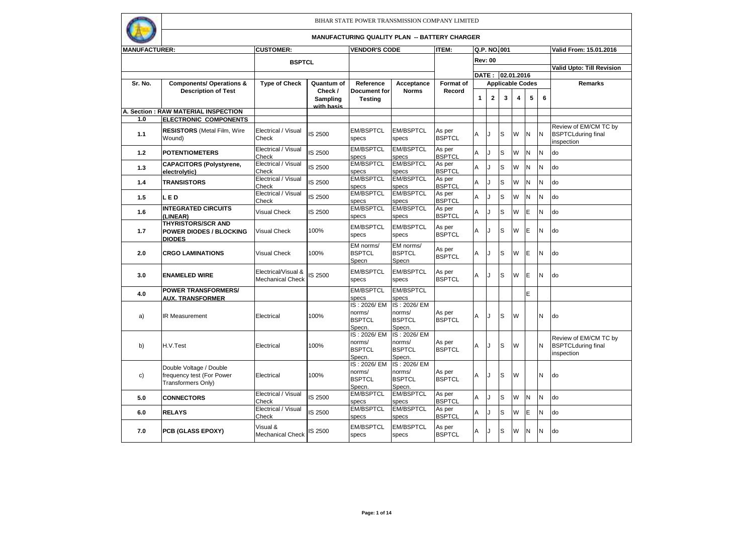

| <b>MANUFACTURER:</b> |                                                                              | <b>CUSTOMER:</b>                               |                                   | <b>VENDOR'S CODE</b>                             |                                                  | ITEM:                   | Q.P. NO.001 |                |    |                         |   |          | Valid From: 15.01.2016                                           |
|----------------------|------------------------------------------------------------------------------|------------------------------------------------|-----------------------------------|--------------------------------------------------|--------------------------------------------------|-------------------------|-------------|----------------|----|-------------------------|---|----------|------------------------------------------------------------------|
|                      |                                                                              |                                                |                                   |                                                  |                                                  |                         |             |                |    |                         |   |          |                                                                  |
|                      |                                                                              | <b>BSPTCL</b>                                  |                                   |                                                  |                                                  |                         |             | <b>Rev: 00</b> |    |                         |   |          | Valid Upto: Till Revision                                        |
|                      |                                                                              |                                                |                                   |                                                  |                                                  |                         |             | <b>DATE :</b>  |    | 02.01.2016              |   |          |                                                                  |
| Sr. No.              | <b>Components/ Operations &amp;</b>                                          | <b>Type of Check</b>                           | Quantum of                        | Reference                                        | Acceptance                                       | <b>Format of</b>        |             |                |    | <b>Applicable Codes</b> |   |          | <b>Remarks</b>                                                   |
|                      | <b>Description of Test</b>                                                   |                                                | Check /<br>Sampling<br>with basis | <b>Document for</b><br><b>Testing</b>            | <b>Norms</b>                                     | Record                  | 1           | $\mathbf{2}$   | 3  | $\overline{\mathbf{4}}$ | 5 | 6        |                                                                  |
|                      | A. Section: RAW MATERIAL INSPECTION                                          |                                                |                                   |                                                  |                                                  |                         |             |                |    |                         |   |          |                                                                  |
| 1.0                  | <b>ELECTRONIC COMPONENTS</b>                                                 |                                                |                                   |                                                  |                                                  |                         |             |                |    |                         |   |          |                                                                  |
| 1.1                  | <b>RESISTORS</b> (Metal Film, Wire<br>Wound)                                 | Electrical / Visual<br>Check                   | IS 2500                           | <b>EM/BSPTCL</b><br>specs                        | <b>EM/BSPTCL</b><br>specs                        | As per<br><b>BSPTCL</b> | A           |                | ls | W                       | N | <b>N</b> | Review of EM/CM TC by<br><b>BSPTCLduring final</b><br>inspection |
| 1.2                  | <b>POTENTIOMETERS</b>                                                        | Electrical / Visual<br>Check                   | IS 2500                           | <b>EM/BSPTCL</b><br>specs                        | <b>EM/BSPTCL</b><br>specs                        | As per<br><b>BSPTCL</b> | A           |                | S  | W                       | N | <b>N</b> | do                                                               |
| 1.3                  | <b>CAPACITORS (Polystyrene,</b><br>electrolytic)                             | Electrical / Visual<br>Check                   | IS 2500                           | <b>EM/BSPTCL</b><br>specs                        | <b>EM/BSPTCL</b><br>specs                        | As per<br><b>BSPTCL</b> | A           |                | S  | W                       | N | N        | do                                                               |
| 1.4                  | <b>TRANSISTORS</b>                                                           | Electrical / Visual<br>Check                   | IS 2500                           | <b>EM/BSPTCL</b><br>specs                        | <b>EM/BSPTCL</b><br>specs                        | As per<br><b>BSPTCL</b> | A           |                | S  | W                       | N | N        | do                                                               |
| 1.5                  | LED                                                                          | Electrical / Visual<br>Check                   | IS 2500                           | <b>EM/BSPTCL</b><br>specs                        | <b>EM/BSPTCL</b><br>specs                        | As per<br><b>BSPTCL</b> | А           | J              | S  | W                       | N | N        | do                                                               |
| 1.6                  | <b>INTEGRATED CIRCUITS</b><br>(LINEAR)                                       | <b>Visual Check</b>                            | IS 2500                           | <b>EM/BSPTCL</b><br>specs                        | <b>EM/BSPTCL</b><br>specs                        | As per<br><b>BSPTCL</b> | Α           |                | S  | W                       | E | N        | do                                                               |
| 1.7                  | <b>THYRISTORS/SCR AND</b><br><b>POWER DIODES / BLOCKING</b><br><b>DIODES</b> | <b>Visual Check</b>                            | 100%                              | <b>EM/BSPTCL</b><br>specs                        | <b>EM/BSPTCL</b><br>specs                        | As per<br><b>BSPTCL</b> | Α           | J              | S  | W                       | E | N        | do                                                               |
| 2.0                  | <b>CRGO LAMINATIONS</b>                                                      | <b>Visual Check</b>                            | 100%                              | EM norms/<br><b>BSPTCL</b><br>Specn              | EM norms/<br><b>BSPTCL</b><br>Specn              | As per<br><b>BSPTCL</b> | A           |                | S  | W                       | E | N        | do                                                               |
| 3.0                  | <b>ENAMELED WIRE</b>                                                         | Electrical/Visual &<br><b>Mechanical Check</b> | <b>IS 2500</b>                    | <b>EM/BSPTCL</b><br>specs                        | <b>EM/BSPTCL</b><br>specs                        | As per<br><b>BSPTCL</b> | A           |                | S  | W                       | E | N        | do                                                               |
| 4.0                  | <b>POWER TRANSFORMERS/</b><br><b>AUX. TRANSFORMER</b>                        |                                                |                                   | <b>EM/BSPTCL</b><br>specs                        | <b>EM/BSPTCL</b><br>specs                        |                         |             |                |    |                         | E |          |                                                                  |
| a)                   | <b>IR Measurement</b>                                                        | Electrical                                     | 100%                              | IS: 2026/EM<br>norms/<br><b>BSPTCL</b><br>Specn. | IS: 2026/EM<br>norms/<br><b>BSPTCL</b><br>Specn. | As per<br><b>BSPTCL</b> | Α           |                | S  | W                       |   | N        | do                                                               |
| b)                   | H.V.Test                                                                     | Electrical                                     | 100%                              | IS: 2026/EM<br>norms/<br><b>BSPTCL</b><br>Specn. | IS: 2026/EM<br>norms/<br><b>BSPTCL</b><br>Specn. | As per<br><b>BSPTCL</b> | Α           |                | S  | W                       |   | N        | Review of EM/CM TC by<br><b>BSPTCLduring final</b><br>inspection |
| c)                   | Double Voltage / Double<br>frequency test (For Power<br>Transformers Only)   | Electrical                                     | 100%                              | IS: 2026/EM<br>norms/<br><b>BSPTCL</b><br>Specn. | IS: 2026/EM<br>norms/<br><b>BSPTCL</b><br>Specn. | As per<br><b>BSPTCL</b> | A           |                | S  | W                       |   | N        | do                                                               |
| 5.0                  | <b>CONNECTORS</b>                                                            | Electrical / Visual<br>Check                   | IS 2500                           | <b>EM/BSPTCL</b><br>specs                        | <b>EM/BSPTCL</b><br>specs                        | As per<br><b>BSPTCL</b> | A           |                | S  | W                       | N | N        | do                                                               |
| 6.0                  | <b>RELAYS</b>                                                                | Electrical / Visual<br>Check                   | IS 2500                           | <b>EM/BSPTCL</b><br>specs                        | <b>EM/BSPTCL</b><br>specs                        | As per<br><b>BSPTCL</b> | Α           | J              | S  | W                       | E | N        | do                                                               |
| 7.0                  | PCB (GLASS EPOXY)                                                            | Visual &<br><b>Mechanical Check</b>            | IS 2500                           | <b>EM/BSPTCL</b><br>specs                        | <b>EM/BSPTCL</b><br>specs                        | As per<br><b>BSPTCL</b> | A           |                | S  | W                       | N | <b>N</b> | do                                                               |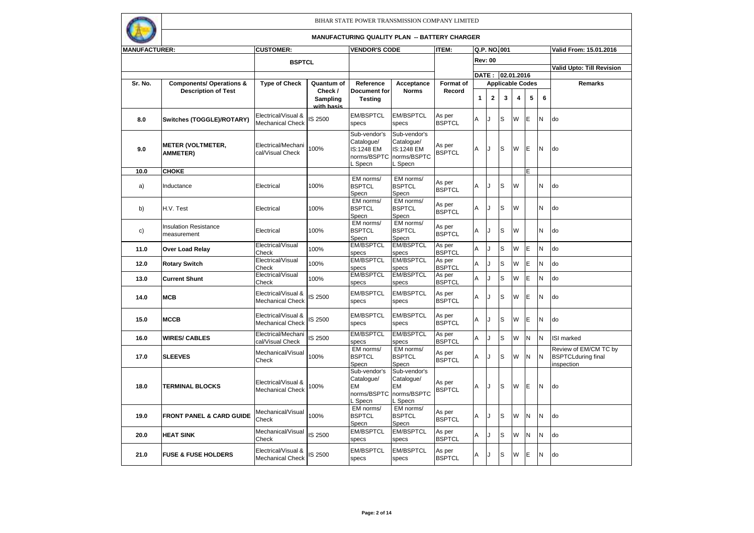

| <b>MANUFACTURER:</b> |                                             | <b>CUSTOMER:</b>                               |                                   | <b>VENDOR'S CODE</b>                                               |                                                                    | <b>ITEM:</b>            | Q.P. NO.001<br><b>Rev: 00</b> |             |                                             |   |   |    | Valid From: 15.01.2016                                           |
|----------------------|---------------------------------------------|------------------------------------------------|-----------------------------------|--------------------------------------------------------------------|--------------------------------------------------------------------|-------------------------|-------------------------------|-------------|---------------------------------------------|---|---|----|------------------------------------------------------------------|
|                      |                                             | <b>BSPTCL</b>                                  |                                   |                                                                    |                                                                    |                         |                               |             |                                             |   |   |    |                                                                  |
|                      |                                             |                                                |                                   |                                                                    |                                                                    |                         |                               |             |                                             |   |   |    | Valid Upto: Till Revision                                        |
| Sr. No.              | <b>Components/ Operations &amp;</b>         | <b>Type of Check</b>                           | Quantum of                        | Reference                                                          | Acceptance                                                         | Format of               |                               |             | DATE: 02.01.2016<br><b>Applicable Codes</b> |   |   |    | Remarks                                                          |
|                      | <b>Description of Test</b>                  |                                                | Check /<br>Sampling<br>with basis | <b>Document for</b><br><b>Testing</b>                              | <b>Norms</b>                                                       | Record                  | 1                             | $\mathbf 2$ | 3                                           | 4 | 5 | 6  |                                                                  |
| 8.0                  | Switches (TOGGLE)/ROTARY)                   | Electrical/Visual &<br><b>Mechanical Check</b> | S 2500                            | <b>EM/BSPTCL</b><br>specs                                          | <b>EM/BSPTCL</b><br>specs                                          | As per<br><b>BSPTCL</b> | A                             | $\cdot$     | S                                           | W | E | N  | do                                                               |
| 9.0                  | <b>METER (VOLTMETER,</b><br><b>AMMETER)</b> | Electrical/Mechani<br>cal/Visual Check         | 100%                              | Sub-vendor's<br>Catalogue/<br>IS:1248 EM<br>norms/BSPTC<br>L Specn | Sub-vendor's<br>Catalogue/<br>IS:1248 EM<br>norms/BSPTC<br>L Specn | As per<br><b>BSPTCL</b> | A                             |             | ls                                          | W | E | N  | do                                                               |
| 10.0                 | <b>CHOKE</b>                                |                                                |                                   |                                                                    |                                                                    |                         |                               |             |                                             |   | E |    |                                                                  |
| a)                   | Inductance                                  | Electrical                                     | 100%                              | EM norms/<br><b>BSPTCL</b><br>Specn                                | EM norms/<br><b>BSPTCL</b><br>Specn                                | As per<br><b>BSPTCL</b> | Α                             | J           | S                                           | W |   | N  | do                                                               |
| b)                   | H.V. Test                                   | Electrical                                     | 100%                              | EM norms/<br><b>BSPTCL</b><br>Specn                                | EM norms/<br><b>BSPTCL</b><br>Specn                                | As per<br><b>BSPTCL</b> | Α                             | J           | S                                           | W |   | N  | do                                                               |
| c)                   | <b>Insulation Resistance</b><br>measurement | Electrical                                     | 100%                              | EM norms/<br><b>BSPTCL</b><br>Specn                                | EM norms/<br><b>BSPTCL</b><br>Specn                                | As per<br><b>BSPTCL</b> | A                             | J           | S                                           | W |   | N  | do                                                               |
| 11.0                 | Over Load Relay                             | Electrical/Visual<br>Check                     | 100%                              | <b>EM/BSPTCL</b><br>specs                                          | <b>EM/BSPTCL</b><br>specs                                          | As per<br><b>BSPTCL</b> | A                             | 1.          | S                                           | W | E | N  | do                                                               |
| 12.0                 | <b>Rotary Switch</b>                        | Electrical/Visual<br>Check                     | 100%                              | <b>EM/BSPTCL</b><br>specs                                          | <b>EM/BSPTCL</b><br>specs                                          | As per<br><b>BSPTCL</b> | Α                             | J           | S                                           | W | E | N  | do                                                               |
| 13.0                 | <b>Current Shunt</b>                        | Electrical/Visual<br>Check                     | 100%                              | <b>EM/BSPTCL</b><br>specs                                          | <b>EM/BSPTCL</b><br>specs                                          | As per<br><b>BSPTCL</b> | Α                             |             | S                                           | W | E | N  | do                                                               |
| 14.0                 | <b>MCB</b>                                  | Electrical/Visual &<br>Mechanical Check        | S 2500                            | <b>EM/BSPTCL</b><br>specs                                          | <b>EM/BSPTCL</b><br>specs                                          | As per<br><b>BSPTCL</b> | А                             | J           | S                                           | W | E | N  | do                                                               |
| 15.0                 | <b>MCCB</b>                                 | Electrical/Visual &<br>Mechanical Check        | IS 2500                           | <b>EM/BSPTCL</b><br>specs                                          | <b>EM/BSPTCL</b><br>specs                                          | As per<br><b>BSPTCL</b> | А                             | J           | S                                           | W | E | IN | do                                                               |
| 16.0                 | <b>WIRES/ CABLES</b>                        | Electrical/Mechani<br>cal/Visual Check         | IS 2500                           | <b>EM/BSPTCL</b><br>specs                                          | <b>EM/BSPTCL</b><br>specs                                          | As per<br><b>BSPTCL</b> | Α                             | J           | S                                           | W | N | N  | <b>ISI</b> marked                                                |
| 17.0                 | <b>SLEEVES</b>                              | Mechanical/Visual<br>Check                     | 100%                              | EM norms/<br><b>BSPTCL</b><br>Specn                                | EM norms/<br><b>BSPTCL</b><br>Specn                                | As per<br><b>BSPTCL</b> | Α                             | J           | S                                           | W | N | İΝ | Review of EM/CM TC by<br><b>BSPTCLduring final</b><br>inspection |
| 18.0                 | <b>TERMINAL BLOCKS</b>                      | Electrical/Visual &<br><b>Mechanical Check</b> | 100%                              | Sub-vendor's<br>Catalogue/<br>EМ<br>norms/BSPTC<br>Specn           | Sub-vendor's<br>Catalogue/<br><b>EM</b><br>norms/BSPTC<br>L Specn  | As per<br><b>BSPTCL</b> | A                             | J           | S                                           | W | E | N  | do                                                               |
| 19.0                 | <b>FRONT PANEL &amp; CARD GUIDE</b>         | Mechanical/Visual<br>Check                     | 100%                              | EM norms/<br><b>BSPTCL</b><br>Specn                                | EM norms/<br><b>BSPTCL</b><br>Specn                                | As per<br><b>BSPTCL</b> | Α                             | J           | S                                           | W | N | N  | do                                                               |
| 20.0                 | <b>HEAT SINK</b>                            | Mechanical/Visual<br>Check                     | IS 2500                           | <b>EM/BSPTCL</b><br>specs                                          | <b>EM/BSPTCL</b><br>specs                                          | As per<br><b>BSPTCL</b> | Α                             | J           | S                                           | W | N | N  | do                                                               |
| 21.0                 | <b>FUSE &amp; FUSE HOLDERS</b>              | Electrical/Visual &<br><b>Mechanical Check</b> | IS 2500                           | <b>EM/BSPTCL</b><br>specs                                          | <b>EM/BSPTCL</b><br>specs                                          | As per<br><b>BSPTCL</b> | А                             | $\cdot$     | S                                           | W | E | N  | do                                                               |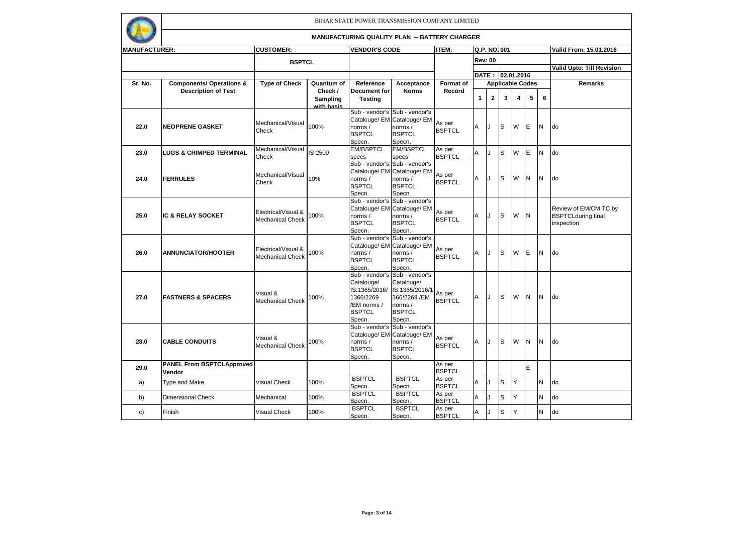

| <b>MANUFACTURER:</b> |                                     | <b>CUSTOMER:</b>        |            | <b>VENDOR'S CODE</b>     |                                               | ITEM:                   | Q.P. NO.001    |              |     |            |                         |   | Valid From: 15.01.2016           |
|----------------------|-------------------------------------|-------------------------|------------|--------------------------|-----------------------------------------------|-------------------------|----------------|--------------|-----|------------|-------------------------|---|----------------------------------|
|                      |                                     | <b>BSPTCL</b>           |            |                          |                                               |                         | <b>Rev: 00</b> |              |     |            |                         |   |                                  |
|                      |                                     |                         |            |                          |                                               |                         |                |              |     |            |                         |   | <b>Valid Upto: Till Revision</b> |
|                      |                                     |                         |            |                          |                                               |                         | DATE :         |              |     | 02.01.2016 |                         |   |                                  |
| Sr. No.              | <b>Components/ Operations &amp;</b> | <b>Type of Check</b>    | Quantum of | Reference                | Acceptance                                    | <b>Format of</b>        |                |              |     |            | <b>Applicable Codes</b> |   | <b>Remarks</b>                   |
|                      | <b>Description of Test</b>          |                         | Check /    | Document for             | <b>Norms</b>                                  | Record                  |                |              |     |            |                         |   |                                  |
|                      |                                     |                         | Sampling   | <b>Testing</b>           |                                               |                         | $\mathbf{1}$   | $\mathbf{2}$ | 3   | 4          | 5                       | 6 |                                  |
|                      |                                     |                         | with basis |                          |                                               |                         |                |              |     |            |                         |   |                                  |
|                      |                                     |                         |            | Sub - vendor's           | Sub - vendor's<br>Catalouge/ EM Catalouge/ EM |                         |                |              |     |            |                         |   |                                  |
| 22.0                 | <b>NEOPRENE GASKET</b>              | Mechanical/Visual       | 100%       | norms /                  | norms /                                       | As per                  | Α              |              | S   | W          | E                       | N | do                               |
|                      |                                     | Check                   |            | <b>BSPTCL</b>            | <b>BSPTCL</b>                                 | <b>BSPTCL</b>           |                |              |     |            |                         |   |                                  |
|                      |                                     |                         |            | Specn.                   | Specn.                                        |                         |                |              |     |            |                         |   |                                  |
|                      |                                     | Mechanical/Visual       |            | <b>EM/BSPTCL</b>         | <b>EM/BSPTCL</b>                              | As per                  |                |              |     | W          | E                       | N | do                               |
| 23.0                 | <b>LUGS &amp; CRIMPED TERMINAL</b>  | Check                   | IS 2500    | specs                    | specs                                         | <b>BSPTCL</b>           | Α              |              | S   |            |                         |   |                                  |
|                      |                                     |                         |            | Sub - vendor's           | Sub - vendor's                                |                         |                |              |     |            |                         |   |                                  |
|                      |                                     | Mechanical/Visual       |            | Catalouge/ EM            | Catalouge/ EM                                 | As per                  |                |              |     |            |                         |   |                                  |
| 24.0                 | <b>FERRULES</b>                     | Check                   | 10%        | norms /                  | norms /                                       | <b>BSPTCL</b>           | A              | IJ           | S   | W          | N                       | N | do                               |
|                      |                                     |                         |            | <b>BSPTCL</b>            | <b>BSPTCL</b>                                 |                         |                |              |     |            |                         |   |                                  |
|                      |                                     |                         |            | Specn.<br>Sub - vendor's | Specn.<br>Sub - vendor's                      |                         |                |              |     |            |                         |   |                                  |
|                      |                                     |                         |            |                          | Catalouge/ EM Catalouge/ EM                   |                         |                |              |     |            |                         |   | Review of EM/CM TC by            |
| 25.0                 | <b>IC &amp; RELAY SOCKET</b>        | Electrical/Visual &     | 00%        | norms /                  | norms /                                       | As per                  | A              | IJ           | S   | W          | N                       |   | <b>BSPTCLduring final</b>        |
|                      |                                     | <b>Mechanical Check</b> |            | <b>BSPTCL</b>            | <b>BSPTCL</b>                                 | <b>BSPTCL</b>           |                |              |     |            |                         |   | inspection                       |
|                      |                                     |                         |            | Specn.                   | Specn.                                        |                         |                |              |     |            |                         |   |                                  |
|                      |                                     |                         |            | Sub - vendor's           | Sub - vendor's                                |                         |                |              |     |            |                         |   |                                  |
|                      |                                     | Electrical/Visual &     |            |                          | Catalouge/ EM Catalouge/ EM                   | As per                  |                |              |     |            |                         |   |                                  |
| 26.0                 | <b>ANNUNCIATOR/HOOTER</b>           | <b>Mechanical Check</b> | 100%       | norms /                  | norms /                                       | <b>BSPTCL</b>           | A              | IJ           | l S | W          | E                       | N | do                               |
|                      |                                     |                         |            | <b>BSPTCL</b>            | <b>BSPTCL</b>                                 |                         |                |              |     |            |                         |   |                                  |
|                      |                                     |                         |            | Specn.<br>Sub - vendor's | Specn.<br>Sub - vendor's                      |                         |                |              |     |            |                         |   |                                  |
|                      |                                     |                         |            | Catalouge/               | Catalouge/                                    |                         |                |              |     |            |                         |   |                                  |
|                      |                                     |                         |            | IS:1365/2016/            | IS:1365/2016/1                                |                         |                |              |     |            |                         |   |                                  |
| 27.0                 | <b>FASTNERS &amp; SPACERS</b>       | Visual &                | 100%       | 1366/2269                | 366/2269 /EM                                  | As per                  | Α              | IJ           | ls  | W          | N                       | N | do                               |
|                      |                                     | <b>Mechanical Check</b> |            | /EM norms /              | norms /                                       | <b>BSPTCL</b>           |                |              |     |            |                         |   |                                  |
|                      |                                     |                         |            | <b>BSPTCL</b>            | <b>BSPTCL</b>                                 |                         |                |              |     |            |                         |   |                                  |
|                      |                                     |                         |            | Specn.                   | Specn.                                        |                         |                |              |     |            |                         |   |                                  |
|                      |                                     |                         |            | Sub - vendor's           | Sub - vendor's                                |                         |                |              |     |            |                         |   |                                  |
| 28.0                 | <b>CABLE CONDUITS</b>               | Visual &                | 100%       | norms /                  | Catalouge/ EM Catalouge/ EM<br>norms /        | As per                  | Α              | IJ           | S   | W          | N                       | N | do                               |
|                      |                                     | <b>Mechanical Check</b> |            | <b>BSPTCL</b>            | <b>BSPTCL</b>                                 | <b>BSPTCL</b>           |                |              |     |            |                         |   |                                  |
|                      |                                     |                         |            | Specn.                   | Specn.                                        |                         |                |              |     |            |                         |   |                                  |
| 29.0                 | <b>PANEL From BSPTCLApproved</b>    |                         |            |                          |                                               | As per                  |                |              |     |            | E                       |   |                                  |
|                      | Vendor                              |                         |            |                          |                                               | <b>BSPTCL</b>           |                |              |     |            |                         |   |                                  |
| a)                   | <b>Type and Make</b>                | Visual Check            | 100%       | <b>BSPTCL</b>            | <b>BSPTCL</b>                                 | As per                  | A              |              | S   | Υ          |                         | N | do                               |
|                      |                                     |                         |            | Specn.<br><b>BSPTCL</b>  | Specn.<br><b>BSPTCL</b>                       | <b>BSPTCL</b>           |                |              |     |            |                         |   |                                  |
| b)                   | <b>Dimensional Check</b>            | Mechanical              | 100%       | Specn.                   | Specn.                                        | As per<br><b>BSPTCL</b> | A              |              | S   | Υ          |                         | N | do                               |
|                      |                                     |                         |            | <b>BSPTCL</b>            | <b>BSPTCL</b>                                 | As per                  |                |              |     |            |                         |   |                                  |
| c)                   | Finish                              | Visual Check            | 100%       | Specn.                   | Specn.                                        | <b>BSPTCL</b>           | Α              |              | S   | Υ          |                         | N | do                               |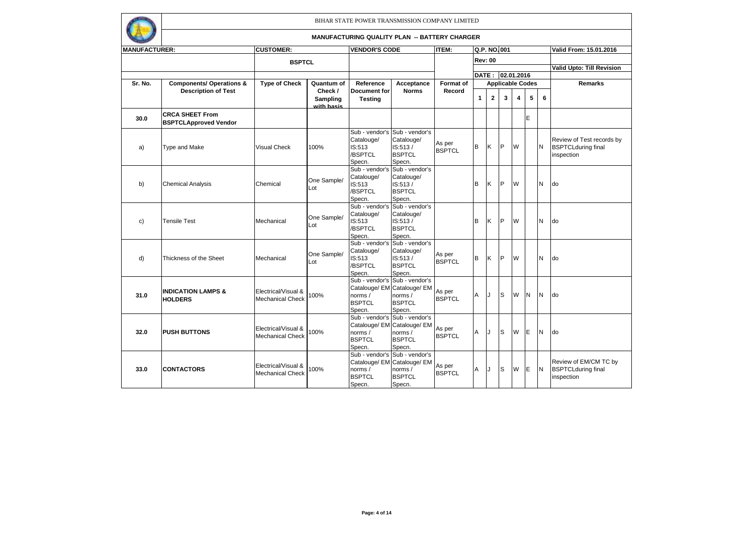

| <b>MANUFACTURER:</b> |                                                        | <b>CUSTOMER:</b>                               |                                   | <b>VENDOR'S CODE</b>                                        |                                                                                                    | <b>ITEM:</b>            |   | Q.P. NO.001      |                         |   |          |           | Valid From: 15.01.2016                                               |
|----------------------|--------------------------------------------------------|------------------------------------------------|-----------------------------------|-------------------------------------------------------------|----------------------------------------------------------------------------------------------------|-------------------------|---|------------------|-------------------------|---|----------|-----------|----------------------------------------------------------------------|
|                      |                                                        | <b>BSPTCL</b>                                  |                                   |                                                             |                                                                                                    |                         |   | <b>Rev: 00</b>   |                         |   |          |           |                                                                      |
|                      |                                                        |                                                |                                   |                                                             |                                                                                                    |                         |   |                  |                         |   |          |           | <b>Valid Upto: Till Revision</b>                                     |
|                      |                                                        |                                                |                                   |                                                             |                                                                                                    |                         |   | DATE: 02.01.2016 |                         |   |          |           |                                                                      |
| Sr. No.              | <b>Components/ Operations &amp;</b>                    | <b>Type of Check</b>                           | Quantum of                        | Reference                                                   | Acceptance                                                                                         | <b>Format of</b>        |   |                  | <b>Applicable Codes</b> |   |          |           | Remarks                                                              |
|                      | <b>Description of Test</b>                             |                                                | Check /<br>Sampling<br>with basis | Document for<br><b>Testing</b>                              | <b>Norms</b>                                                                                       | Record                  | 1 | $\mathbf{2}$     | 3                       | 4 | 5        | 6         |                                                                      |
| 30.0                 | <b>CRCA SHEET From</b><br><b>BSPTCLApproved Vendor</b> |                                                |                                   |                                                             |                                                                                                    |                         |   |                  |                         |   | E        |           |                                                                      |
| a)                   | <b>Type and Make</b>                                   | <b>Visual Check</b>                            | 100%                              | Catalouge/<br>IS:513<br>/BSPTCL<br>Specn.                   | Sub - vendor's Sub - vendor's<br>Catalouge/<br>IS:513/<br><b>BSPTCL</b><br>Specn.                  | As per<br><b>BSPTCL</b> | B | K                | lP.                     | W |          | <b>N</b>  | Review of Test records by<br><b>BSPTCLduring final</b><br>inspection |
| b)                   | <b>Chemical Analysis</b>                               | Chemical                                       | One Sample/<br>Lot                | Sub - vendor's<br>Catalouge/<br>IS:513<br>/BSPTCL<br>Specn. | Sub - vendor's<br>Catalouge/<br>IS:513/<br><b>BSPTCL</b><br>Specn.                                 |                         | B | Κ                | IP                      | W |          | N         | do                                                                   |
| c)                   | <b>Tensile Test</b>                                    | Mechanical                                     | One Sample/<br>Lot                | Sub - vendor's<br>Catalouge/<br>IS:513<br>/BSPTCL<br>Specn. | Sub - vendor's<br>Catalouge/<br>IS:513/<br><b>BSPTCL</b><br>Specn.                                 |                         | B | K                | IP                      | W |          | ΙN        | <b>do</b>                                                            |
| d)                   | Thickness of the Sheet                                 | Mechanical                                     | One Sample/<br>Lot                | Sub - vendor's<br>Catalouge/<br>IS:513<br>/BSPTCL<br>Specn. | Sub - vendor's<br>Catalouge/<br>IS:513/<br><b>BSPTCL</b><br>Specn.                                 | As per<br><b>BSPTCL</b> | B | Κ                | IP                      | W |          | N         | do                                                                   |
| 31.0                 | <b>INDICATION LAMPS &amp;</b><br><b>HOLDERS</b>        | Electrical/Visual &<br><b>Mechanical Check</b> | 100%                              | norms /<br><b>BSPTCL</b><br>Specn.                          | Sub - vendor's Sub - vendor's<br>Catalouge/ EM Catalouge/ EM<br>norms/<br><b>BSPTCL</b><br>Specn.  | As per<br><b>BSPTCL</b> | A | IJ               | ls                      | W | <b>N</b> | İΝ        | <b>do</b>                                                            |
| 32.0                 | <b>PUSH BUTTONS</b>                                    | Electrical/Visual &<br><b>Mechanical Check</b> | 100%                              | norms /<br><b>BSPTCL</b><br>Specn.                          | Sub - vendor's Sub - vendor's<br>Catalouge/ EM Catalouge/ EM<br>norms /<br><b>BSPTCL</b><br>Specn. | As per<br><b>BSPTCL</b> | Α | IJ               | Is                      | W | E        | <b>N</b>  | <b>do</b>                                                            |
| 33.0                 | <b>CONTACTORS</b>                                      | Electrical/Visual &<br><b>Mechanical Check</b> | 100%                              | norms /<br><b>BSPTCL</b><br>Specn.                          | Sub - vendor's Sub - vendor's<br>Catalouge/ EM Catalouge/ EM<br>norms /<br><b>BSPTCL</b><br>Specn. | As per<br><b>BSPTCL</b> | Α | IJ               | Is                      | W | E        | <b>IN</b> | Review of EM/CM TC by<br><b>BSPTCLduring final</b><br>inspection     |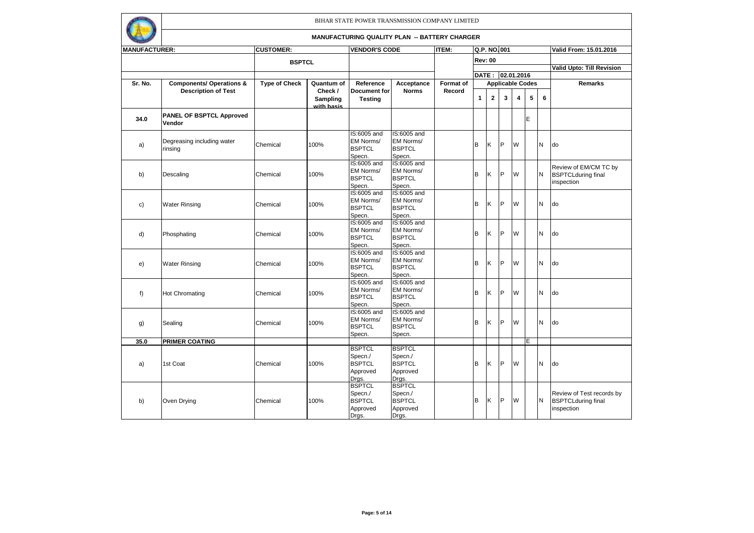

| <b>MANUFACTURER:</b> |                                       | <b>CUSTOMER:</b>     |                               | <b>VENDOR'S CODE</b>                                           |                                                                | <b>ITEM:</b> | Q.P. NO.001<br><b>Rev: 00</b> |              |                         |   |   |          | Valid From: 15.01.2016                                               |
|----------------------|---------------------------------------|----------------------|-------------------------------|----------------------------------------------------------------|----------------------------------------------------------------|--------------|-------------------------------|--------------|-------------------------|---|---|----------|----------------------------------------------------------------------|
|                      |                                       |                      |                               |                                                                |                                                                |              |                               |              |                         |   |   |          |                                                                      |
|                      |                                       | <b>BSPTCL</b>        |                               |                                                                |                                                                |              |                               |              |                         |   |   |          | <b>Valid Upto: Till Revision</b>                                     |
|                      |                                       |                      |                               |                                                                |                                                                |              |                               |              | DATE: 02.01.2016        |   |   |          |                                                                      |
| Sr. No.              | <b>Components/ Operations &amp;</b>   | <b>Type of Check</b> | Quantum of                    | Reference                                                      | Acceptance                                                     | Format of    |                               |              | <b>Applicable Codes</b> |   |   |          | <b>Remarks</b>                                                       |
|                      | <b>Description of Test</b>            |                      | Check /                       | Document for                                                   | <b>Norms</b>                                                   | Record       |                               |              |                         |   |   |          |                                                                      |
|                      |                                       |                      | <b>Sampling</b><br>with basis | <b>Testing</b>                                                 |                                                                |              | 1                             | $\mathbf{2}$ | 3                       | 4 | 5 | 6        |                                                                      |
| 34.0                 | PANEL OF BSPTCL Approved<br>Vendor    |                      |                               |                                                                |                                                                |              |                               |              |                         |   | E |          |                                                                      |
| a)                   | Degreasing including water<br>rinsing | Chemical             | 100%                          | IS:6005 and<br>EM Norms/<br><b>BSPTCL</b><br>Specn.            | IS:6005 and<br>EM Norms/<br><b>BSPTCL</b><br>Specn.            |              | B                             | Κ            | $\mathsf{P}$            | W |   | N        | do                                                                   |
| b)                   | Descaling                             | Chemical             | 100%                          | IS:6005 and<br>EM Norms/<br><b>BSPTCL</b><br>Specn.            | IS:6005 and<br>EM Norms/<br><b>BSPTCL</b><br>Specn.            |              | B                             | Κ            | P                       | W |   | N        | Review of EM/CM TC by<br><b>BSPTCLduring final</b><br>inspection     |
| c)                   | <b>Water Rinsing</b>                  | Chemical             | 100%                          | IS:6005 and<br>EM Norms/<br><b>BSPTCL</b><br>Specn.            | IS:6005 and<br>EM Norms/<br><b>BSPTCL</b><br>Specn.            |              | В                             | K            | P                       | W |   | N        | do                                                                   |
| d)                   | Phosphating                           | Chemical             | 100%                          | IS:6005 and<br>EM Norms/<br><b>BSPTCL</b><br>Specn.            | IS:6005 and<br>EM Norms/<br><b>BSPTCL</b><br>Specn.            |              | В                             | K            | <b>P</b>                | W |   | N        | do                                                                   |
| e)                   | <b>Water Rinsing</b>                  | Chemical             | 100%                          | IS:6005 and<br>EM Norms/<br><b>BSPTCL</b><br>Specn.            | IS:6005 and<br>EM Norms/<br><b>BSPTCL</b><br>Specn.            |              | B                             | K            | <b>P</b>                | W |   | N        | do                                                                   |
| f)                   | <b>Hot Chromating</b>                 | Chemical             | 100%                          | IS:6005 and<br>EM Norms/<br><b>BSPTCL</b><br>Specn.            | IS:6005 and<br>EM Norms/<br><b>BSPTCL</b><br>Specn.            |              | В                             | K            | P                       | W |   | N        | do                                                                   |
| g)                   | Sealing                               | Chemical             | 100%                          | IS:6005 and<br>EM Norms/<br><b>BSPTCL</b><br>Specn.            | IS:6005 and<br>EM Norms/<br><b>BSPTCL</b><br>Specn.            |              | В                             | Κ            | P                       | W |   | N        | do                                                                   |
| 35.0                 | <b>PRIMER COATING</b>                 |                      |                               |                                                                |                                                                |              |                               |              |                         |   | E |          |                                                                      |
| a)                   | 1st Coat                              | Chemical             | 100%                          | <b>BSPTCL</b><br>Specn./<br><b>BSPTCL</b><br>Approved<br>Drgs. | <b>BSPTCL</b><br>Specn./<br><b>BSPTCL</b><br>Approved<br>Drgs. |              | B                             | K            | <b>IP</b>               | W |   | N        | do                                                                   |
| b)                   | Oven Drying                           | Chemical             | 100%                          | <b>BSPTCL</b><br>Specn./<br><b>BSPTCL</b><br>Approved<br>Drgs. | <b>BSPTCL</b><br>Specn./<br><b>BSPTCL</b><br>Approved<br>Drgs. |              | в                             | Ιĸ           | IP                      | W |   | <b>N</b> | Review of Test records by<br><b>BSPTCLduring final</b><br>inspection |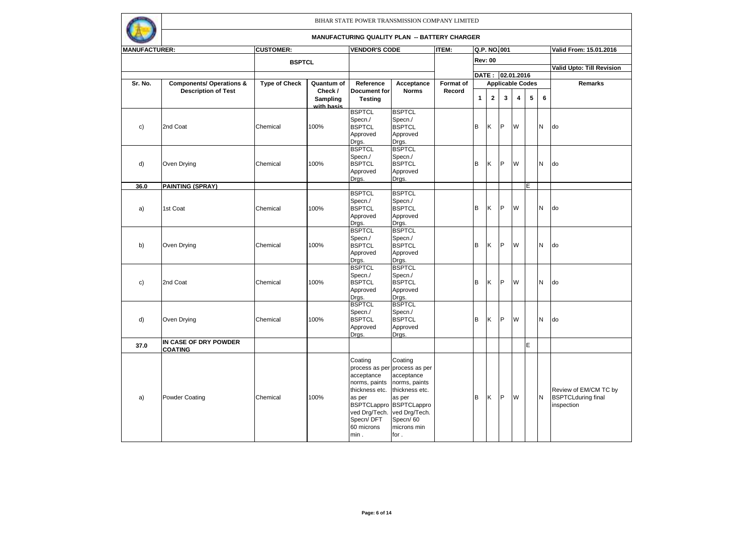

| <b>MANUFACTURER:</b> |                                     | <b>CUSTOMER:</b>     |            | <b>VENDOR'S CODE</b>         |                               | <b>ITEM:</b> |              | Q.P. NO.001      |                         |                         |   |          | Valid From: 15.01.2016                             |
|----------------------|-------------------------------------|----------------------|------------|------------------------------|-------------------------------|--------------|--------------|------------------|-------------------------|-------------------------|---|----------|----------------------------------------------------|
|                      |                                     |                      |            |                              |                               |              |              |                  |                         |                         |   |          |                                                    |
|                      |                                     | <b>BSPTCL</b>        |            |                              |                               |              |              | <b>Rev: 00</b>   |                         |                         |   |          | <b>Valid Upto: Till Revision</b>                   |
|                      |                                     |                      |            |                              |                               |              |              | DATE: 02.01.2016 |                         |                         |   |          |                                                    |
| Sr. No.              | <b>Components/ Operations &amp;</b> | <b>Type of Check</b> | Quantum of | Reference                    | Acceptance                    | Format of    |              |                  | <b>Applicable Codes</b> |                         |   |          | <b>Remarks</b>                                     |
|                      | <b>Description of Test</b>          |                      | Check /    | Document for                 | <b>Norms</b>                  | Record       |              |                  |                         |                         |   |          |                                                    |
|                      |                                     |                      | Sampling   | <b>Testing</b>               |                               |              | $\mathbf{1}$ | $\overline{2}$   | 3                       | $\overline{\mathbf{4}}$ | 5 | 6        |                                                    |
|                      |                                     |                      | with basis | <b>BSPTCL</b>                | <b>BSPTCL</b>                 |              |              |                  |                         |                         |   |          |                                                    |
|                      |                                     |                      |            | Specn./                      | Specn./                       |              |              |                  |                         |                         |   |          |                                                    |
| c)                   | 2nd Coat                            | Chemical             | 100%       | <b>BSPTCL</b>                | <b>BSPTCL</b>                 |              | B            | K                | <b>IP</b>               | W                       |   | <b>N</b> | ldo                                                |
|                      |                                     |                      |            | Approved                     | Approved                      |              |              |                  |                         |                         |   |          |                                                    |
|                      |                                     |                      |            | Drgs.                        | Drgs.                         |              |              |                  |                         |                         |   |          |                                                    |
|                      |                                     |                      |            | <b>BSPTCL</b>                | <b>BSPTCL</b>                 |              |              |                  |                         |                         |   |          |                                                    |
|                      |                                     |                      |            | Specn./                      | Specn./<br><b>BSPTCL</b>      |              |              | K                | <b>P</b>                | W                       |   |          |                                                    |
| d)                   | Oven Drying                         | Chemical             | 100%       | <b>BSPTCL</b><br>Approved    | Approved                      |              | B            |                  |                         |                         |   | <b>N</b> | do                                                 |
|                      |                                     |                      |            | Drgs.                        | Drgs.                         |              |              |                  |                         |                         |   |          |                                                    |
| 36.0                 | <b>PAINTING (SPRAY)</b>             |                      |            |                              |                               |              |              |                  |                         |                         | E |          |                                                    |
|                      |                                     |                      |            | <b>BSPTCL</b>                | <b>BSPTCL</b>                 |              |              |                  |                         |                         |   |          |                                                    |
|                      |                                     |                      |            | Specn./                      | Specn./                       |              |              |                  |                         |                         |   |          |                                                    |
| a)                   | 1st Coat                            | Chemical             | 100%       | <b>BSPTCL</b>                | <b>BSPTCL</b>                 |              | В            | Κ                | IP                      | W                       |   | <b>N</b> | do                                                 |
|                      |                                     |                      |            | Approved                     | Approved                      |              |              |                  |                         |                         |   |          |                                                    |
|                      |                                     |                      |            | Drgs.<br><b>BSPTCL</b>       | Drgs.<br><b>BSPTCL</b>        |              |              |                  |                         |                         |   |          |                                                    |
|                      |                                     |                      |            | Specn./                      | Specn./                       |              |              |                  |                         |                         |   |          |                                                    |
| b)                   | Oven Drying                         | Chemical             | 100%       | <b>BSPTCL</b>                | <b>BSPTCL</b>                 |              | В            | Ιĸ               | <b>IP</b>               | W                       |   | <b>N</b> | <b>do</b>                                          |
|                      |                                     |                      |            | Approved                     | Approved                      |              |              |                  |                         |                         |   |          |                                                    |
|                      |                                     |                      |            | Drgs.                        | Drgs.                         |              |              |                  |                         |                         |   |          |                                                    |
|                      |                                     |                      |            | <b>BSPTCL</b>                | <b>BSPTCL</b>                 |              |              |                  |                         |                         |   |          |                                                    |
|                      |                                     |                      |            | Specn./                      | Specn./                       |              |              |                  |                         |                         |   |          |                                                    |
| c)                   | 2nd Coat                            | Chemical             | 100%       | <b>BSPTCL</b>                | <b>BSPTCL</b>                 |              | в            | Κ                | <b>P</b>                | W                       |   | N        | do                                                 |
|                      |                                     |                      |            | Approved                     | Approved                      |              |              |                  |                         |                         |   |          |                                                    |
|                      |                                     |                      |            | Drgs.<br><b>BSPTCL</b>       | Drgs.<br><b>BSPTCL</b>        |              |              |                  |                         |                         |   |          |                                                    |
|                      |                                     |                      |            | Specn./                      | Specn./                       |              |              |                  |                         |                         |   |          |                                                    |
| d)                   | Oven Drying                         | Chemical             | 100%       | <b>BSPTCL</b>                | <b>BSPTCL</b>                 |              | B            | K                | IP.                     | W                       |   | <b>N</b> | <b>do</b>                                          |
|                      |                                     |                      |            | Approved                     | Approved                      |              |              |                  |                         |                         |   |          |                                                    |
|                      |                                     |                      |            | Drgs.                        | Drgs.                         |              |              |                  |                         |                         |   |          |                                                    |
| 37.0                 | IN CASE OF DRY POWDER               |                      |            |                              |                               |              |              |                  |                         |                         | E |          |                                                    |
|                      | <b>COATING</b>                      |                      |            |                              |                               |              |              |                  |                         |                         |   |          |                                                    |
|                      |                                     |                      |            | Coating                      | Coating                       |              |              |                  |                         |                         |   |          |                                                    |
|                      |                                     |                      |            |                              | process as per process as per |              |              |                  |                         |                         |   |          |                                                    |
|                      |                                     |                      |            | acceptance                   | acceptance                    |              |              |                  |                         |                         |   |          |                                                    |
|                      |                                     |                      |            | norms, paints                | norms, paints                 |              |              |                  |                         |                         |   |          |                                                    |
|                      | <b>Powder Coating</b>               | Chemical             | 100%       | thickness etc.               | thickness etc.                |              | B            | Ιĸ               | IP                      | W                       |   | N        | Review of EM/CM TC by<br><b>BSPTCLduring final</b> |
| a)                   |                                     |                      |            | as per<br><b>BSPTCLappro</b> | as per<br><b>BSPTCLappro</b>  |              |              |                  |                         |                         |   |          | inspection                                         |
|                      |                                     |                      |            | ved Drg/Tech.                | ved Drg/Tech.                 |              |              |                  |                         |                         |   |          |                                                    |
|                      |                                     |                      |            | Specn/DFT                    | Specn/60                      |              |              |                  |                         |                         |   |          |                                                    |
|                      |                                     |                      |            | 60 microns                   | microns min                   |              |              |                  |                         |                         |   |          |                                                    |
|                      |                                     |                      |            | min.                         | for.                          |              |              |                  |                         |                         |   |          |                                                    |
|                      |                                     |                      |            |                              |                               |              |              |                  |                         |                         |   |          |                                                    |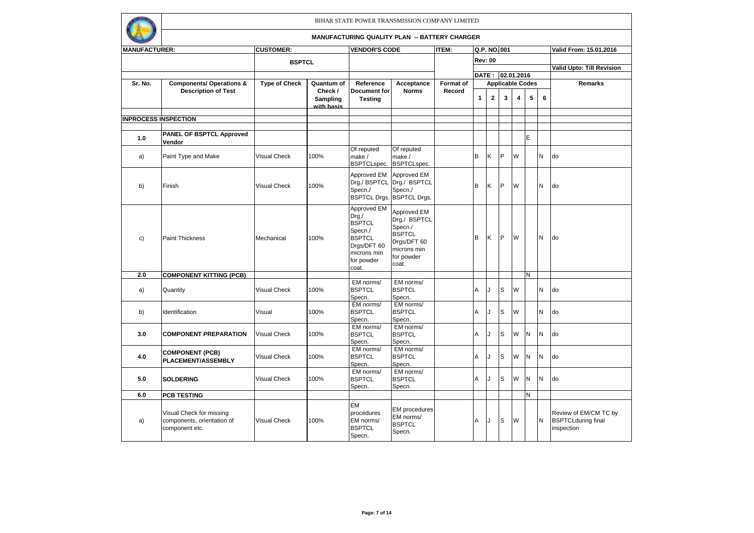

| <b>MANUFACTURER:</b> |                                                                          | <b>CUSTOMER:</b>     |                                   | <b>VENDOR'S CODE</b>                                                                                                   |                                                                                                              | <b>ITEM:</b> |   |                | Q.P. NO.001      |                         |                         |   | Valid From: 15.01.2016                                           |
|----------------------|--------------------------------------------------------------------------|----------------------|-----------------------------------|------------------------------------------------------------------------------------------------------------------------|--------------------------------------------------------------------------------------------------------------|--------------|---|----------------|------------------|-------------------------|-------------------------|---|------------------------------------------------------------------|
|                      |                                                                          | <b>BSPTCL</b>        |                                   |                                                                                                                        |                                                                                                              |              |   | <b>Rev: 00</b> |                  |                         |                         |   |                                                                  |
|                      |                                                                          |                      |                                   |                                                                                                                        |                                                                                                              |              |   |                |                  |                         |                         |   | <b>Valid Upto: Till Revision</b>                                 |
|                      |                                                                          |                      |                                   |                                                                                                                        |                                                                                                              |              |   |                | DATE: 02.01.2016 |                         |                         |   |                                                                  |
| Sr. No.              | <b>Components/ Operations &amp;</b>                                      | <b>Type of Check</b> | Quantum of                        | Reference                                                                                                              | Acceptance                                                                                                   | Format of    |   |                |                  |                         | <b>Applicable Codes</b> |   | Remarks                                                          |
|                      | <b>Description of Test</b>                                               |                      | Check /<br>Sampling<br>with basis | Document for<br><b>Testing</b>                                                                                         | <b>Norms</b>                                                                                                 | Record       | 1 | $\mathbf{2}$   | 3                | $\overline{\mathbf{4}}$ | 5                       | 6 |                                                                  |
|                      | <b>INPROCESS INSPECTION</b>                                              |                      |                                   |                                                                                                                        |                                                                                                              |              |   |                |                  |                         |                         |   |                                                                  |
|                      |                                                                          |                      |                                   |                                                                                                                        |                                                                                                              |              |   |                |                  |                         |                         |   |                                                                  |
| 1.0                  | <b>PANEL OF BSPTCL Approved</b><br>Vendor                                |                      |                                   |                                                                                                                        |                                                                                                              |              |   |                |                  |                         | E                       |   |                                                                  |
| a)                   | Paint Type and Make                                                      | <b>Visual Check</b>  | 100%                              | Of reputed<br>make /<br>BSPTCLspec.                                                                                    | Of reputed<br>make /<br><b>BSPTCLspec.</b>                                                                   |              | B | K              | <b>P</b>         | W                       |                         | N | do                                                               |
| b)                   | Finish                                                                   | <b>Visual Check</b>  | 100%                              | Approved EM<br>Drg./ BSPTCL<br>Specn./<br><b>BSPTCL Drgs.</b>                                                          | Approved EM<br>Drg./ BSPTCL<br>Specn./<br><b>BSPTCL Drgs.</b>                                                |              | B | K              | <b>P</b>         | W                       |                         | N | do                                                               |
| c)                   | <b>Paint Thickness</b>                                                   | Mechanical           | 100%                              | Approved EM<br>Drg./<br><b>BSPTCL</b><br>Specn./<br><b>BSPTCL</b><br>Drgs/DFT 60<br>microns min<br>for powder<br>coat. | Approved EM<br>Drg./ BSPTCL<br>Specn./<br><b>BSPTCL</b><br>Drgs/DFT 60<br>microns min<br>for powder<br>coat. |              | B | K              | IP.              | W                       |                         | N | do                                                               |
| 2.0                  | <b>COMPONENT KITTING (PCB)</b>                                           |                      |                                   |                                                                                                                        |                                                                                                              |              |   |                |                  |                         | N                       |   |                                                                  |
| a)                   | Quantity                                                                 | <b>Visual Check</b>  | 100%                              | EM norms/<br><b>BSPTCL</b><br>Specn.                                                                                   | EM norms/<br><b>BSPTCL</b><br>Specn.                                                                         |              | A | $\cdot$        | S                | W                       |                         | N | do                                                               |
| b)                   | Identification                                                           | Visual               | 100%                              | EM norms/<br><b>BSPTCL</b><br>Specn.                                                                                   | EM norms/<br><b>BSPTCL</b><br>Specn.                                                                         |              | A |                | S                | W                       |                         | N | do                                                               |
| 3.0                  | <b>COMPONENT PREPARATION</b>                                             | <b>Visual Check</b>  | 100%                              | EM norms/<br><b>BSPTCL</b><br>Specn.                                                                                   | EM norms/<br><b>BSPTCL</b><br>Specn.                                                                         |              | A | $\cdot$        | S                | W                       | N                       | N | do                                                               |
| 4.0                  | <b>COMPONENT (PCB)</b><br><b>PLACEMENT/ASSEMBLY</b>                      | <b>Visual Check</b>  | 100%                              | EM norms/<br><b>BSPTCL</b><br>Specn.                                                                                   | EM norms/<br><b>BSPTCL</b><br>Specn.                                                                         |              | A | $\cdot$        | S                | W                       | N                       | N | do                                                               |
| 5.0                  | <b>SOLDERING</b>                                                         | <b>Visual Check</b>  | 100%                              | EM norms/<br><b>BSPTCL</b><br>Specn.                                                                                   | EM norms/<br><b>BSPTCL</b><br>Specn.                                                                         |              | A | $\cdot$        | S                | W                       | N                       | N | do                                                               |
| 6.0                  | <b>PCB TESTING</b>                                                       |                      |                                   |                                                                                                                        |                                                                                                              |              |   |                |                  |                         | N                       |   |                                                                  |
| a)                   | Visual Check for missing<br>components, orientation of<br>component etc. | <b>Visual Check</b>  | 100%                              | EM<br>procedures<br>EM norms/<br><b>BSPTCL</b><br>Specn.                                                               | <b>EM</b> procedures<br>EM norms/<br><b>BSPTCL</b><br>Specn.                                                 |              | A | IJ             | Is               | W                       |                         | N | Review of EM/CM TC by<br><b>BSPTCLduring final</b><br>inspection |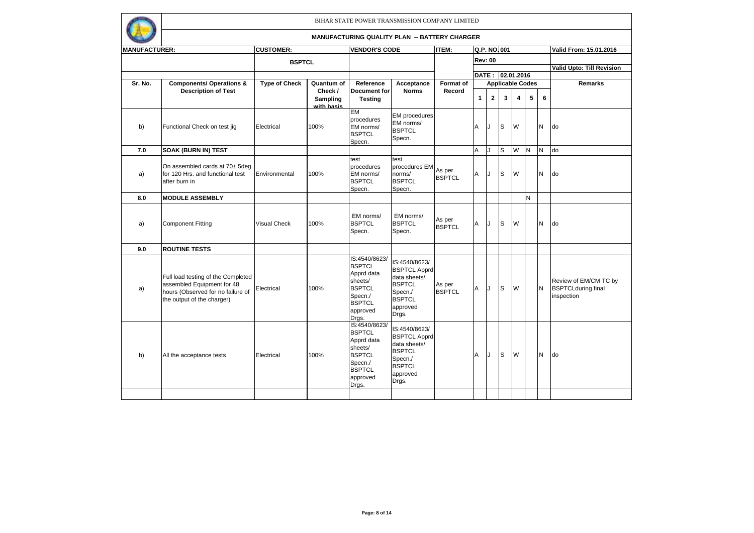

| <b>MANUFACTURER:</b> |                                                                                                                                     | <b>CUSTOMER:</b>     |                                   | <b>VENDOR'S CODE</b>                                                                                                      |                                                                                                                        | <b>ITEM:</b>            |   |                | Q.P. NO.001             |                |   |          | Valid From: 15.01.2016                                           |
|----------------------|-------------------------------------------------------------------------------------------------------------------------------------|----------------------|-----------------------------------|---------------------------------------------------------------------------------------------------------------------------|------------------------------------------------------------------------------------------------------------------------|-------------------------|---|----------------|-------------------------|----------------|---|----------|------------------------------------------------------------------|
|                      |                                                                                                                                     |                      |                                   |                                                                                                                           |                                                                                                                        |                         |   | <b>Rev: 00</b> |                         |                |   |          |                                                                  |
|                      |                                                                                                                                     | <b>BSPTCL</b>        |                                   |                                                                                                                           |                                                                                                                        |                         |   |                |                         |                |   |          | <b>Valid Upto: Till Revision</b>                                 |
|                      |                                                                                                                                     |                      |                                   |                                                                                                                           |                                                                                                                        |                         |   |                | DATE: 02.01.2016        |                |   |          |                                                                  |
| Sr. No.              | <b>Components/ Operations &amp;</b>                                                                                                 | <b>Type of Check</b> | Quantum of                        | Reference                                                                                                                 | Acceptance                                                                                                             | <b>Format of</b>        |   |                | <b>Applicable Codes</b> |                |   |          | <b>Remarks</b>                                                   |
|                      | <b>Description of Test</b>                                                                                                          |                      | Check /<br>Sampling<br>with basis | <b>Document for</b><br><b>Testing</b>                                                                                     | <b>Norms</b>                                                                                                           | Record                  | 1 | $\mathbf{2}$   | 3                       | $\overline{4}$ | 5 | 6        |                                                                  |
| b)                   | Functional Check on test jig                                                                                                        | Electrical           | 100%                              | <b>EM</b><br>procedures<br>EM norms/<br><b>BSPTCL</b><br>Specn.                                                           | <b>EM</b> procedures<br>EM norms/<br><b>BSPTCL</b><br>Specn.                                                           |                         | A | IJ             | S                       | W              |   | <b>N</b> | do                                                               |
| 7.0                  | <b>SOAK (BURN IN) TEST</b>                                                                                                          |                      |                                   |                                                                                                                           |                                                                                                                        |                         | Α | J              | S                       | W              | N | IN.      | do                                                               |
| a)                   | On assembled cards at 70± 5deg.<br>for 120 Hrs. and functional test<br>after burn in                                                | Environmental        | 100%                              | test<br>procedures<br>EM norms/<br><b>BSPTCL</b><br>Specn.                                                                | test<br>procedures EM<br>norms/<br><b>BSPTCL</b><br>Specn.                                                             | As per<br><b>BSPTCL</b> | A | IJ             | lS.                     | W              |   | <b>N</b> | do                                                               |
| 8.0                  | <b>MODULE ASSEMBLY</b>                                                                                                              |                      |                                   |                                                                                                                           |                                                                                                                        |                         |   |                |                         |                | N |          |                                                                  |
| a)                   | <b>Component Fitting</b>                                                                                                            | <b>Visual Check</b>  | 100%                              | EM norms/<br><b>BSPTCL</b><br>Specn.                                                                                      | EM norms/<br><b>BSPTCL</b><br>Specn.                                                                                   | As per<br><b>BSPTCL</b> | Α | IJ             | lS.                     | W              |   | N        | do                                                               |
| 9.0                  | <b>ROUTINE TESTS</b>                                                                                                                |                      |                                   |                                                                                                                           |                                                                                                                        |                         |   |                |                         |                |   |          |                                                                  |
| a)                   | Full load testing of the Completed<br>assembled Equipment for 48<br>hours (Observed for no failure of<br>the output of the charger) | Electrical           | 100%                              | IS:4540/8623/<br><b>BSPTCL</b><br>Apprd data<br>sheets/<br><b>BSPTCL</b><br>Specn./<br><b>BSPTCL</b><br>approved<br>Drgs. | IS:4540/8623/<br><b>BSPTCL Apprd</b><br>data sheets/<br><b>BSPTCL</b><br>Specn./<br><b>BSPTCL</b><br>approved<br>Drgs. | As per<br><b>BSPTCL</b> | Α | J              | lS.                     | W              |   | N        | Review of EM/CM TC by<br><b>BSPTCLduring final</b><br>inspection |
| b)                   | All the acceptance tests                                                                                                            | Electrical           | 100%                              | IS:4540/8623/<br><b>BSPTCL</b><br>Apprd data<br>sheets/<br><b>BSPTCL</b><br>Specn./<br><b>BSPTCL</b><br>approved<br>Drgs. | IS:4540/8623/<br><b>BSPTCL Apprd</b><br>data sheets/<br><b>BSPTCL</b><br>Specn./<br><b>BSPTCL</b><br>approved<br>Drgs. |                         | A | J              | S                       | W              |   | N        | do                                                               |
|                      |                                                                                                                                     |                      |                                   |                                                                                                                           |                                                                                                                        |                         |   |                |                         |                |   |          |                                                                  |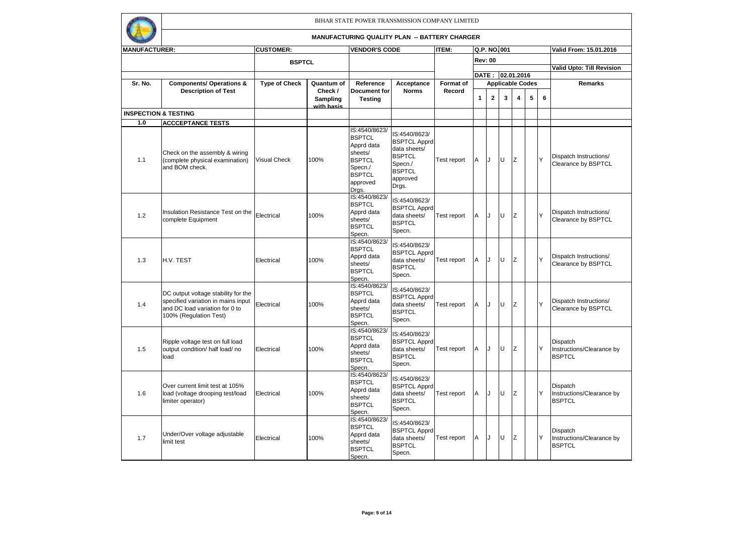

| <b>MANUFACTURER:</b> |                                                                                                                                       | <b>CUSTOMER:</b>     |                                                 | <b>VENDOR'S CODE</b>                                                                                                      |                                                                                                                        | <b>ITEM:</b>               |              |                | Q.P. NO.001      |                         |                              |   | Valid From: 15.01.2016                                 |
|----------------------|---------------------------------------------------------------------------------------------------------------------------------------|----------------------|-------------------------------------------------|---------------------------------------------------------------------------------------------------------------------------|------------------------------------------------------------------------------------------------------------------------|----------------------------|--------------|----------------|------------------|-------------------------|------------------------------|---|--------------------------------------------------------|
|                      |                                                                                                                                       | <b>BSPTCL</b>        |                                                 |                                                                                                                           |                                                                                                                        |                            |              | <b>Rev: 00</b> |                  |                         |                              |   |                                                        |
|                      |                                                                                                                                       |                      |                                                 |                                                                                                                           |                                                                                                                        |                            |              |                |                  |                         |                              |   | <b>Valid Upto: Till Revision</b>                       |
|                      |                                                                                                                                       |                      |                                                 |                                                                                                                           |                                                                                                                        |                            |              |                | DATE: 02.01.2016 |                         |                              |   |                                                        |
| Sr. No.              | <b>Components/ Operations &amp;</b><br><b>Description of Test</b>                                                                     | <b>Type of Check</b> | Quantum of<br>Check /<br>Sampling<br>with basis | Reference<br><b>Document</b> for<br><b>Testing</b>                                                                        | Acceptance<br><b>Norms</b>                                                                                             | <b>Format of</b><br>Record | $\mathbf{1}$ | $\mathbf{2}$   | 3                | $\overline{\mathbf{4}}$ | <b>Applicable Codes</b><br>5 | 6 | <b>Remarks</b>                                         |
|                      | <b>INSPECTION &amp; TESTING</b>                                                                                                       |                      |                                                 |                                                                                                                           |                                                                                                                        |                            |              |                |                  |                         |                              |   |                                                        |
| 1.0                  | <b>ACCCEPTANCE TESTS</b>                                                                                                              |                      |                                                 |                                                                                                                           |                                                                                                                        |                            |              |                |                  |                         |                              |   |                                                        |
| 1.1                  | Check on the assembly & wiring<br>(complete physical examination)<br>and BOM check.                                                   | <b>Visual Check</b>  | 100%                                            | IS:4540/8623/<br><b>BSPTCL</b><br>Apprd data<br>sheets/<br><b>BSPTCL</b><br>Specn./<br><b>BSPTCL</b><br>approved<br>Drgs. | IS:4540/8623/<br><b>BSPTCL Apprd</b><br>data sheets/<br><b>BSPTCL</b><br>Specn./<br><b>BSPTCL</b><br>approved<br>Drgs. | Test report                | A            | IJ             | lu               | z                       |                              | Y | Dispatch Instructions/<br>Clearance by BSPTCL          |
| 1.2                  | Insulation Resistance Test on the<br>complete Equipment                                                                               | Electrical           | 100%                                            | IS:4540/8623/<br><b>BSPTCL</b><br>Apprd data<br>sheets/<br><b>BSPTCL</b><br>Specn.                                        | IS:4540/8623/<br><b>BSPTCL Apprd</b><br>data sheets/<br><b>BSPTCL</b><br>Specn.                                        | Test report                | A            | IJ             | lU.              | Z                       |                              | Y | Dispatch Instructions/<br>Clearance by BSPTCL          |
| 1.3                  | H.V. TEST                                                                                                                             | Electrical           | 100%                                            | IS:4540/8623/<br><b>BSPTCL</b><br>Apprd data<br>sheets/<br><b>BSPTCL</b><br>Specn.                                        | IS:4540/8623/<br><b>BSPTCL Apprd</b><br>data sheets/<br><b>BSPTCL</b><br>Specn.                                        | Test report                | A            | IJ             | lU.              | Iz                      |                              | Y | Dispatch Instructions/<br>Clearance by BSPTCL          |
| 1.4                  | DC output voltage stability for the<br>specified variation in mains input<br>and DC load variation for 0 to<br>100% (Regulation Test) | Electrical           | 100%                                            | IS:4540/8623/<br><b>BSPTCL</b><br>Apprd data<br>sheets/<br><b>BSPTCL</b><br>Specn.                                        | IS:4540/8623/<br><b>BSPTCL Apprd</b><br>data sheets/<br><b>BSPTCL</b><br>Specn.                                        | Test report                | A            | IJ             | lU.              | z                       |                              | Y | Dispatch Instructions/<br>Clearance by BSPTCL          |
| 1.5                  | Ripple voltage test on full load<br>output condition/ half load/ no<br>load                                                           | Electrical           | 100%                                            | IS:4540/8623/<br><b>BSPTCL</b><br>Apprd data<br>sheets/<br><b>BSPTCL</b><br>Specn.                                        | IS:4540/8623/<br><b>BSPTCL Apprd</b><br>data sheets/<br><b>BSPTCL</b><br>Specn.                                        | Test report                | A            | IJ             | lU.              | z                       |                              | Y | Dispatch<br>Instructions/Clearance by<br><b>BSPTCL</b> |
| 1.6                  | Over current limit test at 105%<br>load (voltage drooping test/load<br>limiter operator)                                              | Electrical           | 100%                                            | IS:4540/8623/<br><b>BSPTCL</b><br>Apprd data<br>sheets/<br><b>BSPTCL</b><br>Specn.                                        | IS:4540/8623/<br><b>BSPTCL Apprd</b><br>data sheets/<br><b>BSPTCL</b><br>Specn.                                        | Test report                | A            | IJ             | lu               | z                       |                              | Y | Dispatch<br>Instructions/Clearance by<br><b>BSPTCL</b> |
| 1.7                  | Under/Over voltage adjustable<br>limit test                                                                                           | Electrical           | 100%                                            | IS:4540/8623/<br><b>BSPTCL</b><br>Apprd data<br>sheets/<br><b>BSPTCL</b><br>Specn.                                        | IS:4540/8623/<br><b>BSPTCL Apprd</b><br>data sheets/<br><b>BSPTCL</b><br>Specn.                                        | Test report                | A            | IJ             | lu               | Z                       |                              | Y | Dispatch<br>Instructions/Clearance by<br><b>BSPTCL</b> |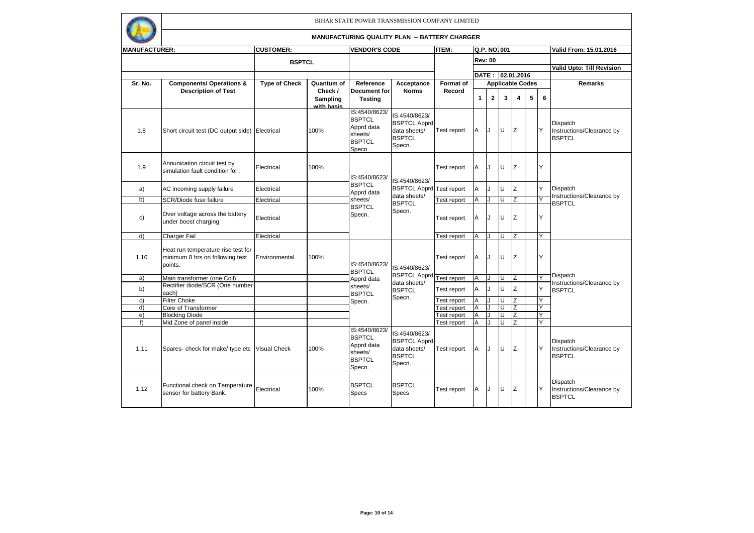

| <b>MANUFACTURER:</b> |                                                                                  | <b>CUSTOMER:</b>     |                                   | <b>VENDOR'S CODE</b>                                                               |                                                                                 | <b>ITEM:</b>       |              |                         | Q.P. NO.001 |                         |   |   | Valid From: 15.01.2016                                        |
|----------------------|----------------------------------------------------------------------------------|----------------------|-----------------------------------|------------------------------------------------------------------------------------|---------------------------------------------------------------------------------|--------------------|--------------|-------------------------|-------------|-------------------------|---|---|---------------------------------------------------------------|
|                      |                                                                                  | <b>BSPTCL</b>        |                                   |                                                                                    |                                                                                 |                    |              | <b>Rev: 00</b>          |             |                         |   |   |                                                               |
|                      |                                                                                  |                      |                                   |                                                                                    |                                                                                 |                    |              |                         |             |                         |   |   | Valid Upto: Till Revision                                     |
|                      |                                                                                  |                      |                                   |                                                                                    |                                                                                 |                    |              |                         |             | DATE: 02.01.2016        |   |   |                                                               |
| Sr. No.              | <b>Components/ Operations &amp;</b>                                              | <b>Type of Check</b> | Quantum of                        | Reference                                                                          | Acceptance                                                                      | <b>Format of</b>   |              |                         |             | <b>Applicable Codes</b> |   |   | <b>Remarks</b>                                                |
|                      | <b>Description of Test</b>                                                       |                      | Check /<br>Sampling<br>with basis | <b>Document</b> for<br><b>Testing</b>                                              | <b>Norms</b>                                                                    | Record             | $\mathbf{1}$ | $\overline{\mathbf{2}}$ | 3           | 4                       | 5 | 6 |                                                               |
| 1.8                  | Short circuit test (DC output side) Electrical                                   |                      | 100%                              | IS:4540/8623/<br><b>BSPTCL</b><br>Apprd data<br>sheets/<br><b>BSPTCL</b><br>Specn. | IS:4540/8623/<br><b>BSPTCL Apprd</b><br>data sheets/<br><b>BSPTCL</b><br>Specn. | Test report        | A            | IJ                      | lu          | z                       |   | Y | <b>Dispatch</b><br>Instructions/Clearance by<br><b>BSPTCL</b> |
| 1.9                  | Annunication circuit test by<br>simulation fault condition for:                  | Electrical           | 100%                              | IS:4540/8623/                                                                      | IS:4540/8623/                                                                   | Test report        | A            | IJ                      | lU.         | Z                       |   | Ÿ |                                                               |
| a)                   | AC incoming supply failure                                                       | Electrical           |                                   | <b>BSPTCL</b><br>Apprd data                                                        | <b>BSPTCL Apprd Test report</b><br>data sheets/                                 |                    | Α            | J                       | lU.         | z                       |   | Y | Dispatch<br>Instructions/Clearance by                         |
| b)                   | SCR/Diode fuse failure                                                           | Electrical           |                                   | sheets/                                                                            | <b>BSPTCL</b>                                                                   | <b>Test report</b> | A            |                         |             |                         |   | Y | <b>BSPTCL</b>                                                 |
| c)                   | Over voltage across the battery<br>under boost charging                          | Electrical           |                                   | <b>BSPTCL</b><br>Specn.                                                            | Specn.                                                                          | Test report        | A            | J                       | lU.         | z                       |   | Y |                                                               |
| d)                   | <b>Charger Fail</b>                                                              | Electrical           |                                   |                                                                                    |                                                                                 | <b>Test report</b> | A            |                         | U           |                         |   | Υ |                                                               |
| 1.10                 | Heat run temperature rise test for<br>minimum 8 hrs on following test<br>points. | Environmental        | 100%                              | IS:4540/8623/<br><b>BSPTCL</b>                                                     | IS:4540/8623/                                                                   | Test report        | A            | IJ                      | lu          | Z                       |   | Ÿ |                                                               |
| a)                   | Main transformer (one Coil)                                                      |                      |                                   | Apprd data                                                                         | BSPTCL Apprd Test report                                                        |                    | Α            |                         |             | $\overline{z}$          |   | Ϋ | Dispatch                                                      |
| b)                   | Rectifier diode/SCR (One number<br>each)                                         |                      |                                   | sheets/<br><b>BSPTCL</b>                                                           | data sheets/<br><b>BSPTCL</b>                                                   | Test report        | A            |                         | U           | Z                       |   | Y | Instructions/Clearance by<br><b>BSPTCL</b>                    |
| c)                   | <b>Filter Choke</b>                                                              |                      |                                   | Specn.                                                                             | Specn.                                                                          | est report         | A            |                         | ш           | $\overline{z}$          |   | Y |                                                               |
| d)                   | Core of Transformer                                                              |                      |                                   |                                                                                    |                                                                                 | est report         | A            |                         | Ш           | Z                       |   | Y |                                                               |
| e)                   | <b>Blocking Diode</b>                                                            |                      |                                   |                                                                                    |                                                                                 | est report         | Α            |                         | lυ          | $\overline{z}$          |   | Y |                                                               |
| f                    | Mid Zone of panel inside                                                         |                      |                                   |                                                                                    |                                                                                 | est report         | A            | J                       | U           | Z                       |   | Y |                                                               |
| 1.11                 | Spares- check for make/ type etc Visual Check                                    |                      | 100%                              | IS:4540/8623/<br><b>BSPTCL</b><br>Apprd data<br>sheets/<br><b>BSPTCL</b><br>Specn. | IS:4540/8623/<br><b>BSPTCL Apprd</b><br>data sheets/<br><b>BSPTCL</b><br>Specn. | Test report        | A            | IJ                      | lU.         | z                       |   | Y | Dispatch<br>Instructions/Clearance by<br><b>BSPTCL</b>        |
| 1.12                 | Functional check on Temperature<br>sensor for battery Bank.                      | Electrical           | 100%                              | <b>BSPTCL</b><br>Specs                                                             | <b>BSPTCL</b><br>Specs                                                          | Test report        | A            | IJ                      | lU          | z                       |   | Y | Dispatch<br>Instructions/Clearance by<br><b>BSPTCL</b>        |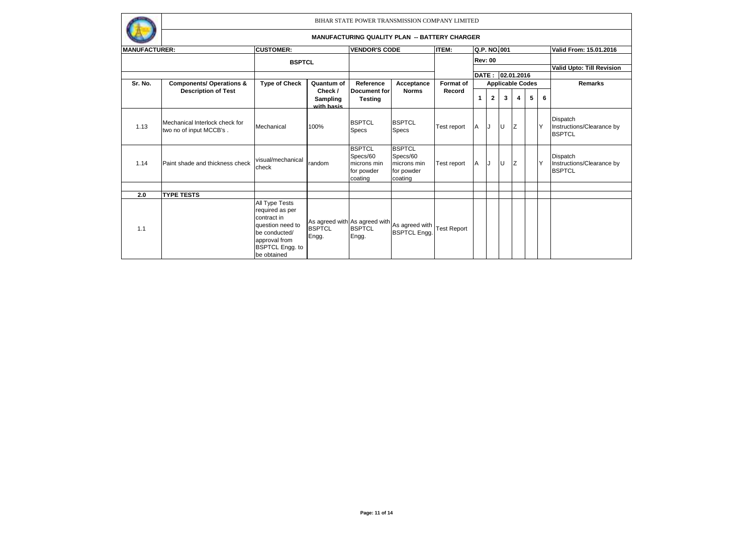

| <b>MANUFACTURER:</b> |                                                           | <b>CUSTOMER:</b>                                                                                                                                |                                   | <b>VENDOR'S CODE</b>                                              |                                                                          | <b>ITEM:</b> |                | Q.P. NO.001  |    |                         |   |          | Valid From: 15.01.2016                                 |
|----------------------|-----------------------------------------------------------|-------------------------------------------------------------------------------------------------------------------------------------------------|-----------------------------------|-------------------------------------------------------------------|--------------------------------------------------------------------------|--------------|----------------|--------------|----|-------------------------|---|----------|--------------------------------------------------------|
|                      |                                                           | <b>BSPTCL</b>                                                                                                                                   |                                   |                                                                   |                                                                          |              | <b>Rev: 00</b> |              |    |                         |   |          |                                                        |
|                      |                                                           |                                                                                                                                                 |                                   |                                                                   |                                                                          |              |                |              |    |                         |   |          | Valid Upto: Till Revision                              |
|                      |                                                           |                                                                                                                                                 |                                   |                                                                   |                                                                          |              |                |              |    | DATE: 02.01.2016        |   |          |                                                        |
| Sr. No.              | <b>Components/ Operations &amp;</b>                       | <b>Type of Check</b>                                                                                                                            | Quantum of                        | Reference                                                         | Acceptance                                                               | Format of    |                |              |    | <b>Applicable Codes</b> |   |          | <b>Remarks</b>                                         |
|                      | <b>Description of Test</b>                                |                                                                                                                                                 | Check /<br>Sampling<br>with basis | <b>Document for</b><br><b>Testing</b>                             | <b>Norms</b>                                                             | Record       | $\mathbf{1}$   | $\mathbf{2}$ | 3  | 4                       | 5 | 6        |                                                        |
| 1.13                 | Mechanical Interlock check for<br>two no of input MCCB's. | Mechanical                                                                                                                                      | 100%                              | <b>BSPTCL</b><br>Specs                                            | <b>BSPTCL</b><br><b>Specs</b>                                            | Test report  | A              | IJ           | ΙU | Iz                      |   | <b>Y</b> | Dispatch<br>Instructions/Clearance by<br><b>BSPTCL</b> |
| 1.14                 | Paint shade and thickness check                           | visual/mechanical<br>check                                                                                                                      | random                            | <b>BSPTCL</b><br>Specs/60<br>microns min<br>for powder<br>coating | <b>BSPTCL</b><br>Specs/60<br>microns min<br>for powder<br>coating        | Test report  | A              | IJ           | IU | IZ.                     |   | ΙY       | Dispatch<br>Instructions/Clearance by<br><b>BSPTCL</b> |
|                      |                                                           |                                                                                                                                                 |                                   |                                                                   |                                                                          |              |                |              |    |                         |   |          |                                                        |
| 2.0                  | <b>TYPE TESTS</b>                                         |                                                                                                                                                 |                                   |                                                                   |                                                                          |              |                |              |    |                         |   |          |                                                        |
| 1.1                  |                                                           | All Type Tests<br>required as per<br>contract in<br>question need to<br>be conducted/<br>approval from<br><b>BSPTCL Engg. to</b><br>be obtained | Engg.                             | Engg.                                                             | As agreed with As agreed with As agreed with Test Report<br>BSPTCL Engg. |              |                |              |    |                         |   |          |                                                        |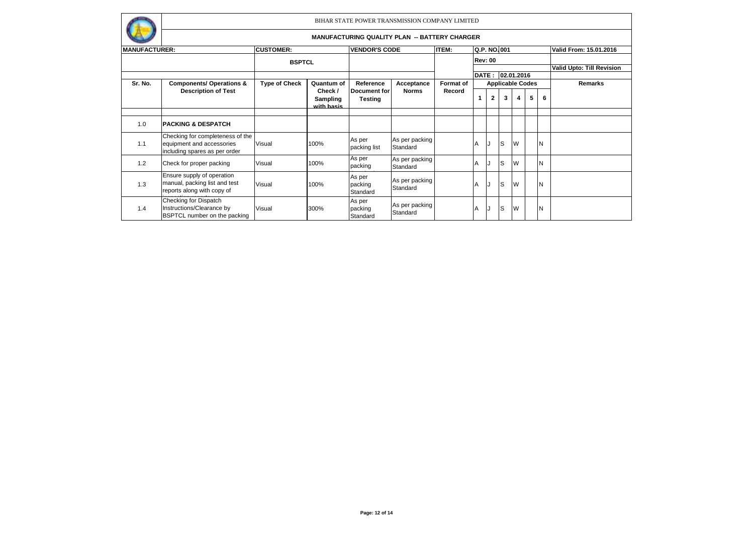

| <b>MANUFACTURER:</b> |                                                                                                | <b>CUSTOMER:</b>     |                                   | <b>VENDOR'S CODE</b>          |                            | <b>ITEM:</b>     |    | Q.P. NO.001    |    |                         |   |   | Valid From: 15.01.2016    |
|----------------------|------------------------------------------------------------------------------------------------|----------------------|-----------------------------------|-------------------------------|----------------------------|------------------|----|----------------|----|-------------------------|---|---|---------------------------|
|                      |                                                                                                | <b>BSPTCL</b>        |                                   |                               |                            |                  |    | <b>Rev: 00</b> |    |                         |   |   |                           |
|                      |                                                                                                |                      |                                   |                               |                            |                  |    |                |    |                         |   |   | Valid Upto: Till Revision |
|                      |                                                                                                |                      |                                   |                               |                            |                  |    |                |    | DATE: 02.01.2016        |   |   |                           |
| Sr. No.              | <b>Components/ Operations &amp;</b>                                                            | <b>Type of Check</b> | Quantum of                        | Reference                     | Acceptance                 | <b>Format of</b> |    |                |    | <b>Applicable Codes</b> |   |   | <b>Remarks</b>            |
|                      | <b>Description of Test</b>                                                                     |                      | Check /<br>Sampling<br>with basis | Document for<br>Testing       | <b>Norms</b>               | Record           | 1  | $\overline{2}$ | 3  | 4                       | 5 | 6 |                           |
|                      |                                                                                                |                      |                                   |                               |                            |                  |    |                |    |                         |   |   |                           |
| 1.0                  | <b>PACKING &amp; DESPATCH</b>                                                                  |                      |                                   |                               |                            |                  |    |                |    |                         |   |   |                           |
| 1.1                  | Checking for completeness of the<br>equipment and accessories<br>including spares as per order | Visual               | 100%                              | As per<br>packing list        | As per packing<br>Standard |                  | IA | IJ             | lS | W                       |   | N |                           |
| 1.2                  | Check for proper packing                                                                       | Visual               | 100%                              | As per<br>packing             | As per packing<br>Standard |                  | ΙA |                | lS | W                       |   | N |                           |
| 1.3                  | Ensure supply of operation<br>manual, packing list and test<br>reports along with copy of      | Visual               | 100%                              | As per<br>packing<br>Standard | As per packing<br>Standard |                  | ΙA | IJ             | lS | W                       |   | N |                           |
| 1.4                  | Checking for Dispatch<br>Instructions/Clearance by<br><b>BSPTCL number on the packing</b>      | Visual               | 300%                              | As per<br>packing<br>Standard | As per packing<br>Standard |                  | ΙA | IJ             | lS | W                       |   | N |                           |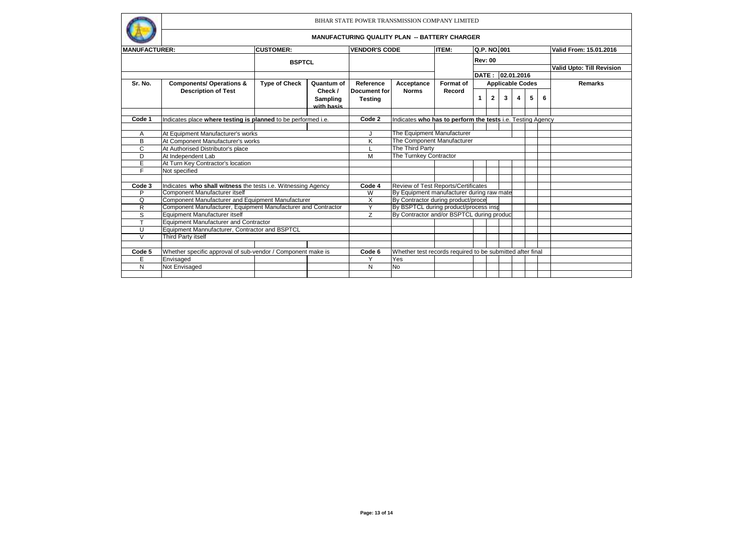

| <b>MANUFACTURER:</b> |                                                               | <b>CUSTOMER:</b><br><b>BSPTCL</b> |                                           | <b>VENDOR'S CODE</b>                      |                                                            | <b>ITEM:</b> | Q.P. NO.001<br><b>Rev: 00</b> |                |                         |   |   |   | Valid From: 15.01.2016    |
|----------------------|---------------------------------------------------------------|-----------------------------------|-------------------------------------------|-------------------------------------------|------------------------------------------------------------|--------------|-------------------------------|----------------|-------------------------|---|---|---|---------------------------|
|                      |                                                               |                                   |                                           |                                           |                                                            |              |                               |                |                         |   |   |   |                           |
|                      |                                                               |                                   |                                           |                                           |                                                            |              |                               |                |                         |   |   |   | Valid Upto: Till Revision |
|                      |                                                               |                                   |                                           |                                           |                                                            |              |                               |                | DATE: 02.01.2016        |   |   |   |                           |
| Sr. No.              | <b>Components/ Operations &amp;</b>                           | <b>Type of Check</b>              | Quantum of                                | Reference                                 | Acceptance                                                 | Format of    |                               |                | <b>Applicable Codes</b> |   |   |   | <b>Remarks</b>            |
|                      | <b>Description of Test</b>                                    |                                   | Check /                                   | <b>Document</b> for                       | <b>Norms</b>                                               | Record       |                               |                |                         |   |   |   |                           |
|                      |                                                               |                                   | Sampling<br>with basis                    | <b>Testing</b>                            |                                                            |              | 1.                            | $\overline{2}$ | 3                       | 4 | 5 | 6 |                           |
|                      |                                                               |                                   |                                           |                                           |                                                            |              |                               |                |                         |   |   |   |                           |
| Code 1               | Indicates place where testing is planned to be performed i.e. |                                   |                                           | Code 2                                    | Indicates who has to perform the tests i.e. Testing Agency |              |                               |                |                         |   |   |   |                           |
|                      |                                                               |                                   |                                           |                                           |                                                            |              |                               |                |                         |   |   |   |                           |
| Α                    | At Equipment Manufacturer's works                             |                                   | The Equipment Manufacturer                |                                           |                                                            |              |                               |                |                         |   |   |   |                           |
| В                    | At Component Manufacturer's works                             | K                                 |                                           | The Component Manufacturer                |                                                            |              |                               |                |                         |   |   |   |                           |
| C                    | At Authorised Distributor's place                             |                                   | The Third Party                           |                                           |                                                            |              |                               |                |                         |   |   |   |                           |
| D                    | At Independent Lab                                            | M                                 | The Turnkey Contractor                    |                                           |                                                            |              |                               |                |                         |   |   |   |                           |
| E                    | At Turn Key Contractor's location                             |                                   |                                           |                                           |                                                            |              |                               |                |                         |   |   |   |                           |
| F.                   | Not specified                                                 |                                   |                                           |                                           |                                                            |              |                               |                |                         |   |   |   |                           |
|                      |                                                               |                                   |                                           |                                           |                                                            |              |                               |                |                         |   |   |   |                           |
| Code 3               | Indicates who shall witness the tests i.e. Witnessing Agency  |                                   |                                           | Code 4                                    | <b>Review of Test Reports/Certificates</b>                 |              |                               |                |                         |   |   |   |                           |
| P                    | Component Manufacturer itself                                 | W                                 |                                           | By Equipment manufacturer during raw mate |                                                            |              |                               |                |                         |   |   |   |                           |
| Q                    | Component Manufacturer and Equipment Manufacturer             | $\overline{\mathsf{x}}$           | By Contractor during product/proce        |                                           |                                                            |              |                               |                |                         |   |   |   |                           |
| R                    | Component Manufacturer, Equipment Manufacturer and Contractor | Y                                 | By BSPTCL during product/process insp     |                                           |                                                            |              |                               |                |                         |   |   |   |                           |
| S                    | Equipment Manufacturer itself                                 | Z                                 | By Contractor and/or BSPTCL during produc |                                           |                                                            |              |                               |                |                         |   |   |   |                           |
| Ŧ                    | <b>Equipment Manufacturer and Contractor</b>                  |                                   |                                           |                                           |                                                            |              |                               |                |                         |   |   |   |                           |
| U                    | Equipment Mannufacturer, Contractor and BSPTCL                |                                   |                                           |                                           |                                                            |              |                               |                |                         |   |   |   |                           |
| $\vee$               | Third Party itself                                            |                                   |                                           |                                           |                                                            |              |                               |                |                         |   |   |   |                           |
|                      |                                                               |                                   |                                           |                                           |                                                            |              |                               |                |                         |   |   |   |                           |
| Code 5               | Whether specific approval of sub-vendor / Component make is   |                                   |                                           |                                           | Whether test records required to be submitted after final  |              |                               |                |                         |   |   |   |                           |
| E                    | Envisaged                                                     |                                   |                                           | Υ                                         | Yes                                                        |              |                               |                |                         |   |   |   |                           |
| N                    | Not Envisaged                                                 |                                   |                                           | N                                         | No                                                         |              |                               |                |                         |   |   |   |                           |
|                      |                                                               |                                   |                                           |                                           |                                                            |              |                               |                |                         |   |   |   |                           |